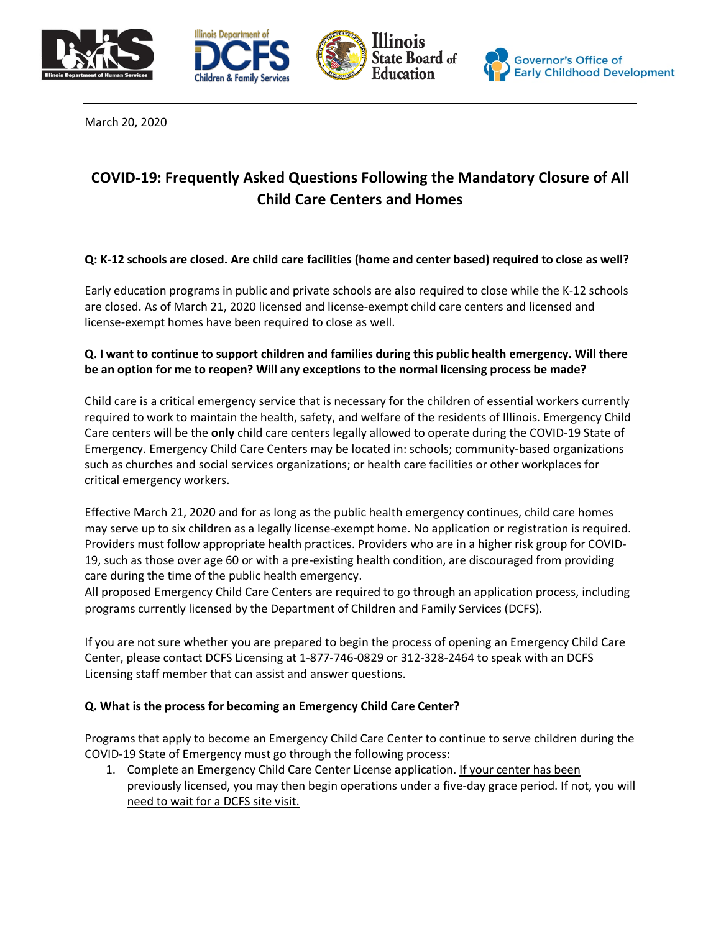







March 20, 2020

# **COVID-19: Frequently Asked Questions Following the Mandatory Closure of All Child Care Centers and Homes**

# **Q: K-12 schools are closed. Are child care facilities (home and center based) required to close as well?**

Early education programs in public and private schools are also required to close while the K-12 schools are closed. As of March 21, 2020 licensed and license-exempt child care centers and licensed and license-exempt homes have been required to close as well.

# **Q. I want to continue to support children and families during this public health emergency. Will there be an option for me to reopen? Will any exceptions to the normal licensing process be made?**

Child care is a critical emergency service that is necessary for the children of essential workers currently required to work to maintain the health, safety, and welfare of the residents of Illinois. Emergency Child Care centers will be the **only** child care centers legally allowed to operate during the COVID-19 State of Emergency. Emergency Child Care Centers may be located in: schools; community-based organizations such as churches and social services organizations; or health care facilities or other workplaces for critical emergency workers.

Effective March 21, 2020 and for as long as the public health emergency continues, child care homes may serve up to six children as a legally license-exempt home. No application or registration is required. Providers must follow appropriate health practices. Providers who are in a higher risk group for COVID-19, such as those over age 60 or with a pre-existing health condition, are discouraged from providing care during the time of the public health emergency.

All proposed Emergency Child Care Centers are required to go through an application process, including programs currently licensed by the Department of Children and Family Services (DCFS).

If you are not sure whether you are prepared to begin the process of opening an Emergency Child Care Center, please contact DCFS Licensing at 1-877-746-0829 or 312-328-2464 to speak with an DCFS Licensing staff member that can assist and answer questions.

# **Q. What is the process for becoming an Emergency Child Care Center?**

Programs that apply to become an Emergency Child Care Center to continue to serve children during the COVID-19 State of Emergency must go through the following process:

1. Complete an Emergency Child Care Center License application. If your center has been previously licensed, you may then begin operations under a five-day grace period. If not, you will need to wait for a DCFS site visit.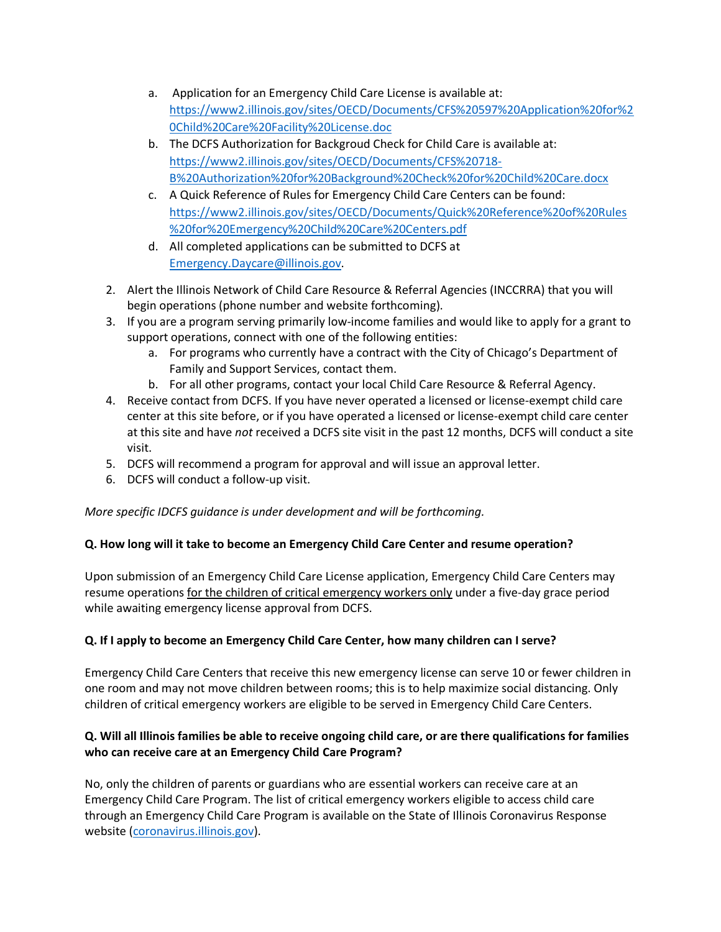- a. Application for an Emergency Child Care License is available at: [https://www2.illinois.gov/sites/OECD/Documents/CFS%20597%20Application%20for%2](https://www2.illinois.gov/sites/OECD/Documents/CFS%20597%20Application%20for%20Child%20Care%20Facility%20License.doc) [0Child%20Care%20Facility%20License.doc](https://www2.illinois.gov/sites/OECD/Documents/CFS%20597%20Application%20for%20Child%20Care%20Facility%20License.doc)
- b. The DCFS Authorization for Backgroud Check for Child Care is available at: [https://www2.illinois.gov/sites/OECD/Documents/CFS%20718-](https://www2.illinois.gov/sites/OECD/Documents/CFS%20718-B%20Authorization%20for%20Background%20Check%20for%20Child%20Care.docx) [B%20Authorization%20for%20Background%20Check%20for%20Child%20Care.docx](https://www2.illinois.gov/sites/OECD/Documents/CFS%20718-B%20Authorization%20for%20Background%20Check%20for%20Child%20Care.docx)
- c. A Quick Reference of Rules for Emergency Child Care Centers can be found: [https://www2.illinois.gov/sites/OECD/Documents/Quick%20Reference%20of%20Rules](https://www2.illinois.gov/sites/OECD/Documents/Quick%20Reference%20of%20Rules%20for%20Emergency%20Child%20Care%20Centers.pdf) [%20for%20Emergency%20Child%20Care%20Centers.pdf](https://www2.illinois.gov/sites/OECD/Documents/Quick%20Reference%20of%20Rules%20for%20Emergency%20Child%20Care%20Centers.pdf)
- d. All completed applications can be submitted to DCFS at [Emergency.Daycare@illinois.gov.](mailto:Emergency.Daycare@illinois.gov)
- 2. Alert the Illinois Network of Child Care Resource & Referral Agencies (INCCRRA) that you will begin operations (phone number and website forthcoming).
- 3. If you are a program serving primarily low-income families and would like to apply for a grant to support operations, connect with one of the following entities:
	- a. For programs who currently have a contract with the City of Chicago's Department of Family and Support Services, contact them.
	- b. For all other programs, contact your local Child Care Resource & Referral Agency.
- 4. Receive contact from DCFS. If you have never operated a licensed or license-exempt child care center at this site before, or if you have operated a licensed or license-exempt child care center at this site and have *not* received a DCFS site visit in the past 12 months, DCFS will conduct a site visit.
- 5. DCFS will recommend a program for approval and will issue an approval letter.
- 6. DCFS will conduct a follow-up visit.

*More specific IDCFS guidance is under development and will be forthcoming.*

# **Q. How long will it take to become an Emergency Child Care Center and resume operation?**

Upon submission of an Emergency Child Care License application, Emergency Child Care Centers may resume operations for the children of critical emergency workers only under a five-day grace period while awaiting emergency license approval from DCFS.

# **Q. If I apply to become an Emergency Child Care Center, how many children can I serve?**

Emergency Child Care Centers that receive this new emergency license can serve 10 or fewer children in one room and may not move children between rooms; this is to help maximize social distancing. Only children of critical emergency workers are eligible to be served in Emergency Child Care Centers.

# **Q. Will all Illinois families be able to receive ongoing child care, or are there qualifications for families who can receive care at an Emergency Child Care Program?**

No, only the children of parents or guardians who are essential workers can receive care at an Emergency Child Care Program. The list of critical emergency workers eligible to access child care through an Emergency Child Care Program is available on the State of Illinois Coronavirus Response website [\(coronavirus.illinois.gov\)](https://www2.illinois.gov/sites/coronavirus/Pages/default.aspx).